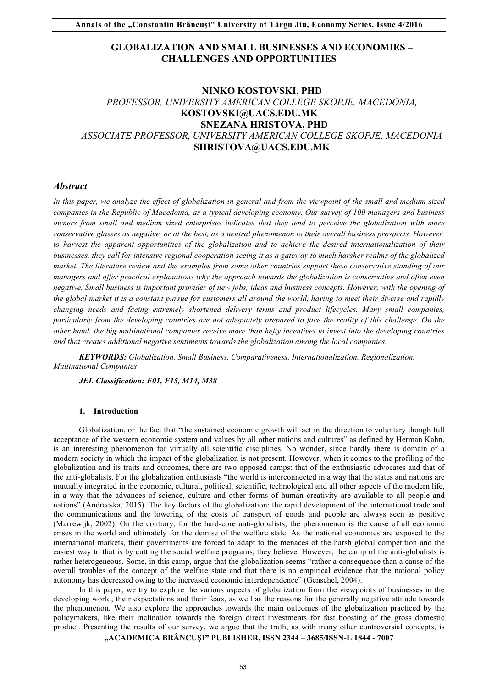# **GLOBALIZATION AND SMALL BUSINESSES AND ECONOMIES – CHALLENGES AND OPPORTUNITIES**

# **NINKO KOSTOVSKI, PHD**  *PROFESSOR, UNIVERSITY AMERICAN COLLEGE SKOPJE, MACEDONIA,* **KOSTOVSKI@UACS.EDU.MK SNEZANA HRISTOVA, PHD**  *ASSOCIATE PROFESSOR, UNIVERSITY AMERICAN COLLEGE SKOPJE, MACEDONIA*  **SHRISTOVA@UACS.EDU.MK**

## *Abstract*

In this paper, we analyze the effect of globalization in general and from the viewpoint of the small and medium sized *companies in the Republic of Macedonia, as a typical developing economy. Our survey of 100 managers and business owners from small and medium sized enterprises indicates that they tend to perceive the globalization with more conservative glasses as negative, or at the best, as a neutral phenomenon to their overall business prospects. However, to harvest the apparent opportunities of the globalization and to achieve the desired internationalization of their businesses, they call for intensive regional cooperation seeing it as a gateway to much harsher realms of the globalized market. The literature review and the examples from some other countries support these conservative standing of our managers and offer practical explanations why the approach towards the globalization is conservative and often even negative. Small business is important provider of new jobs, ideas and business concepts. However, with the opening of the global market it is a constant pursue for customers all around the world, having to meet their diverse and rapidly changing needs and facing extremely shortened delivery terms and product lifecycles. Many small companies, particularly from the developing countries are not adequately prepared to face the reality of this challenge. On the other hand, the big multinational companies receive more than hefty incentives to invest into the developing countries and that creates additional negative sentiments towards the globalization among the local companies.* 

*KEYWORDS: Globalization, Small Business, Comparativeness, Internationalization, Regionalization, Multinational Companies* 

*JEL Classification: F01, F15, M14, M38*

#### **1. Introduction**

Globalization, or the fact that "the sustained economic growth will act in the direction to voluntary though full acceptance of the western economic system and values by all other nations and cultures" as defined by Herman Kahn, is an interesting phenomenon for virtually all scientific disciplines. No wonder, since hardly there is domain of a modern society in which the impact of the globalization is not present. However, when it comes to the profiling of the globalization and its traits and outcomes, there are two opposed camps: that of the enthusiastic advocates and that of the anti-globalists. For the globalization enthusiasts "the world is interconnected in a way that the states and nations are mutually integrated in the economic, cultural, political, scientific, technological and all other aspects of the modern life, in a way that the advances of science, culture and other forms of human creativity are available to all people and nations" (Andreeska, 2015). The key factors of the globalization: the rapid development of the international trade and the communications and the lowering of the costs of transport of goods and people are always seen as positive (Marrewijk, 2002). On the contrary, for the hard-core anti-globalists, the phenomenon is the cause of all economic crises in the world and ultimately for the demise of the welfare state. As the national economies are exposed to the international markets, their governments are forced to adapt to the menaces of the harsh global competition and the easiest way to that is by cutting the social welfare programs, they believe. However, the camp of the anti-globalists is rather heterogeneous. Some, in this camp, argue that the globalization seems "rather a consequence than a cause of the overall troubles of the concept of the welfare state and that there is no empirical evidence that the national policy autonomy has decreased owing to the increased economic interdependence" (Genschel, 2004).

In this paper, we try to explore the various aspects of globalization from the viewpoints of businesses in the developing world, their expectations and their fears, as well as the reasons for the generally negative attitude towards the phenomenon. We also explore the approaches towards the main outcomes of the globalization practiced by the policymakers, like their inclination towards the foreign direct investments for fast boosting of the gross domestic product. Presenting the results of our survey, we argue that the truth, as with many other controversial concepts, is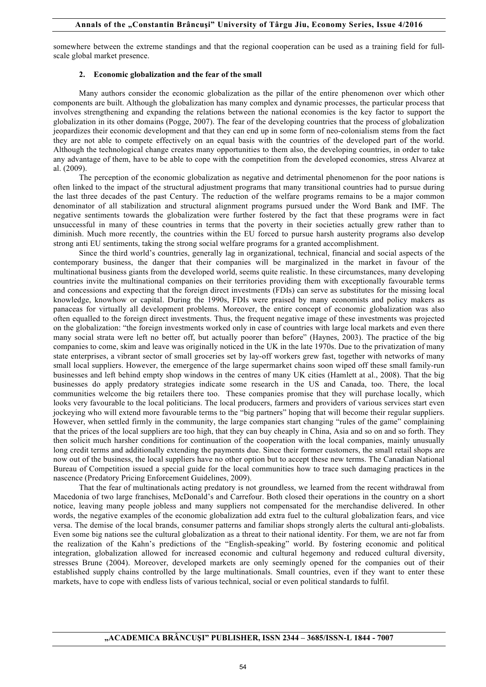somewhere between the extreme standings and that the regional cooperation can be used as a training field for fullscale global market presence.

#### **2. Economic globalization and the fear of the small**

Many authors consider the economic globalization as the pillar of the entire phenomenon over which other components are built. Although the globalization has many complex and dynamic processes, the particular process that involves strengthening and expanding the relations between the national economies is the key factor to support the globalization in its other domains (Pogge, 2007). The fear of the developing countries that the process of globalization jeopardizes their economic development and that they can end up in some form of neo-colonialism stems from the fact they are not able to compete effectively on an equal basis with the countries of the developed part of the world. Although the technological change creates many opportunities to them also, the developing countries, in order to take any advantage of them, have to be able to cope with the competition from the developed economies, stress Alvarez at al. (2009).

The perception of the economic globalization as negative and detrimental phenomenon for the poor nations is often linked to the impact of the structural adjustment programs that many transitional countries had to pursue during the last three decades of the past Century. The reduction of the welfare programs remains to be a major common denominator of all stabilization and structural alignment programs pursued under the Word Bank and IMF. The negative sentiments towards the globalization were further fostered by the fact that these programs were in fact unsuccessful in many of these countries in terms that the poverty in their societies actually grew rather than to diminish. Much more recently, the countries within the EU forced to pursue harsh austerity programs also develop strong anti EU sentiments, taking the strong social welfare programs for a granted accomplishment.

Since the third world's countries, generally lag in organizational, technical, financial and social aspects of the contemporary business, the danger that their companies will be marginalized in the market in favour of the multinational business giants from the developed world, seems quite realistic. In these circumstances, many developing countries invite the multinational companies on their territories providing them with exceptionally favourable terms and concessions and expecting that the foreign direct investments (FDIs) can serve as substitutes for the missing local knowledge, knowhow or capital. During the 1990s, FDIs were praised by many economists and policy makers as panaceas for virtually all development problems. Moreover, the entire concept of economic globalization was also often equalled to the foreign direct investments. Thus, the frequent negative image of these investments was projected on the globalization: "the foreign investments worked only in case of countries with large local markets and even there many social strata were left no better off, but actually poorer than before" (Haynes, 2003). The practice of the big companies to come, skim and leave was originally noticed in the UK in the late 1970s. Due to the privatization of many state enterprises, a vibrant sector of small groceries set by lay-off workers grew fast, together with networks of many small local suppliers. However, the emergence of the large supermarket chains soon wiped off these small family-run businesses and left behind empty shop windows in the centres of many UK cities (Hamlett at al., 2008). That the big businesses do apply predatory strategies indicate some research in the US and Canada, too. There, the local communities welcome the big retailers there too. These companies promise that they will purchase locally, which looks very favourable to the local politicians. The local producers, farmers and providers of various services start even jockeying who will extend more favourable terms to the "big partners" hoping that will become their regular suppliers. However, when settled firmly in the community, the large companies start changing "rules of the game" complaining that the prices of the local suppliers are too high, that they can buy cheaply in China, Asia and so on and so forth. They then solicit much harsher conditions for continuation of the cooperation with the local companies, mainly unusually long credit terms and additionally extending the payments due. Since their former customers, the small retail shops are now out of the business, the local suppliers have no other option but to accept these new terms. The Canadian National Bureau of Competition issued a special guide for the local communities how to trace such damaging practices in the nascence (Predatory Pricing Enforcement Guidelines, 2009).

That the fear of multinationals acting predatory is not groundless, we learned from the recent withdrawal from Macedonia of two large franchises, McDonald's and Carrefour. Both closed their operations in the country on a short notice, leaving many people jobless and many suppliers not compensated for the merchandise delivered. In other words, the negative examples of the economic globalization add extra fuel to the cultural globalization fears, and vice versa. The demise of the local brands, consumer patterns and familiar shops strongly alerts the cultural anti-globalists. Even some big nations see the cultural globalization as a threat to their national identity. For them, we are not far from the realization of the Kahn's predictions of the "English-speaking" world. By fostering economic and political integration, globalization allowed for increased economic and cultural hegemony and reduced cultural diversity, stresses Brune (2004). Moreover, developed markets are only seemingly opened for the companies out of their established supply chains controlled by the large multinationals. Small countries, even if they want to enter these markets, have to cope with endless lists of various technical, social or even political standards to fulfil.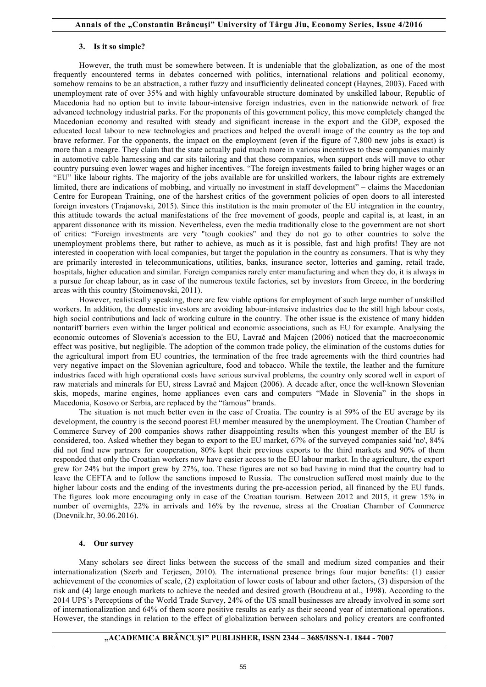#### **3. Is it so simple?**

However, the truth must be somewhere between. It is undeniable that the globalization, as one of the most frequently encountered terms in debates concerned with politics, international relations and political economy, somehow remains to be an abstraction, a rather fuzzy and insufficiently delineated concept (Haynes, 2003). Faced with unemployment rate of over 35% and with highly unfavourable structure dominated by unskilled labour, Republic of Macedonia had no option but to invite labour-intensive foreign industries, even in the nationwide network of free advanced technology industrial parks. For the proponents of this government policy, this move completely changed the Macedonian economy and resulted with steady and significant increase in the export and the GDP, exposed the educated local labour to new technologies and practices and helped the overall image of the country as the top and brave reformer. For the opponents, the impact on the employment (even if the figure of 7,800 new jobs is exact) is more than a meagre. They claim that the state actually paid much more in various incentives to these companies mainly in automotive cable harnessing and car sits tailoring and that these companies, when support ends will move to other country pursuing even lower wages and higher incentives. "The foreign investments failed to bring higher wages or an "EU" like labour rights. The majority of the jobs available are for unskilled workers, the labour rights are extremely limited, there are indications of mobbing, and virtually no investment in staff development" – claims the Macedonian Centre for European Training, one of the harshest critics of the government policies of open doors to all interested foreign investors (Trajanovski, 2015). Since this institution is the main promoter of the EU integration in the country, this attitude towards the actual manifestations of the free movement of goods, people and capital is, at least, in an apparent dissonance with its mission. Nevertheless, even the media traditionally close to the government are not short of critics: "Foreign investments are very "tough cookies" and they do not go to other countries to solve the unemployment problems there, but rather to achieve, as much as it is possible, fast and high profits! They are not interested in cooperation with local companies, but target the population in the country as consumers. That is why they are primarily interested in telecommunications, utilities, banks, insurance sector, lotteries and gaming, retail trade, hospitals, higher education and similar. Foreign companies rarely enter manufacturing and when they do, it is always in a pursue for cheap labour, as in case of the numerous textile factories, set by investors from Greece, in the bordering areas with this country (Stoimenovski, 2011).

However, realistically speaking, there are few viable options for employment of such large number of unskilled workers. In addition, the domestic investors are avoiding labour-intensive industries due to the still high labour costs, high social contributions and lack of working culture in the country. The other issue is the existence of many hidden nontariff barriers even within the larger political and economic associations, such as EU for example. Analysing the economic outcomes of Slovenia's accession to the EU, Lavrač and Majcen (2006) noticed that the macroeconomic effect was positive, but negligible. The adoption of the common trade policy, the elimination of the customs duties for the agricultural import from EU countries, the termination of the free trade agreements with the third countries had very negative impact on the Slovenian agriculture, food and tobacco. While the textile, the leather and the furniture industries faced with high operational costs have serious survival problems, the country only scored well in export of raw materials and minerals for EU, stress Lavrač and Majcen (2006). A decade after, once the well-known Slovenian skis, mopeds, marine engines, home appliances even cars and computers "Made in Slovenia" in the shops in Macedonia, Kosovo or Serbia, are replaced by the "famous" brands.

The situation is not much better even in the case of Croatia. The country is at 59% of the EU average by its development, the country is the second poorest EU member measured by the unemployment. The Croatian Chamber of Commerce Survey of 200 companies shows rather disappointing results when this youngest member of the EU is considered, too. Asked whether they began to export to the EU market, 67% of the surveyed companies said 'no', 84% did not find new partners for cooperation, 80% kept their previous exports to the third markets and 90% of them responded that only the Croatian workers now have easier access to the EU labour market. In the agriculture, the export grew for 24% but the import grew by 27%, too. These figures are not so bad having in mind that the country had to leave the CEFTA and to follow the sanctions imposed to Russia. The construction suffered most mainly due to the higher labour costs and the ending of the investments during the pre-accession period, all financed by the EU funds. The figures look more encouraging only in case of the Croatian tourism. Between 2012 and 2015, it grew 15% in number of overnights, 22% in arrivals and 16% by the revenue, stress at the Croatian Chamber of Commerce (Dnevnik.hr, 30.06.2016).

#### **4. Our survey**

Many scholars see direct links between the success of the small and medium sized companies and their internationalization (Szerb and Terjesen, 2010). The international presence brings four major benefits: (1) easier achievement of the economies of scale, (2) exploitation of lower costs of labour and other factors, (3) dispersion of the risk and (4) large enough markets to achieve the needed and desired growth (Boudreau at al., 1998). According to the 2014 UPS's Perceptions of the World Trade Survey, 24% of the US small businesses are already involved in some sort of internationalization and 64% of them score positive results as early as their second year of international operations. However, the standings in relation to the effect of globalization between scholars and policy creators are confronted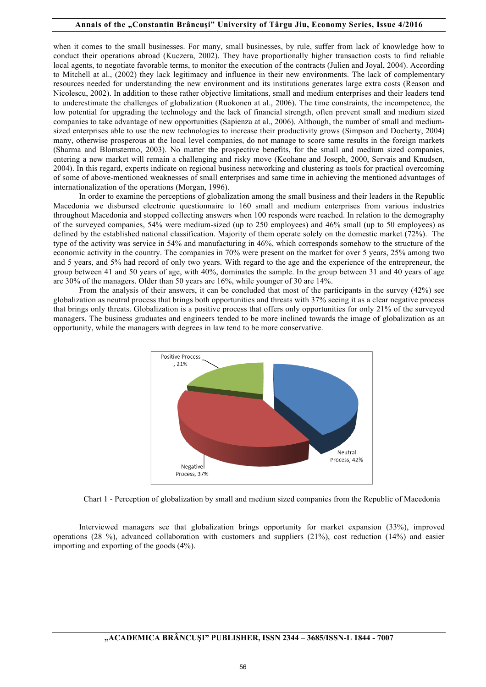when it comes to the small businesses. For many, small businesses, by rule, suffer from lack of knowledge how to conduct their operations abroad (Kuczera, 2002). They have proportionally higher transaction costs to find reliable local agents, to negotiate favorable terms, to monitor the execution of the contracts (Julien and Joyal, 2004). According to Mitchell at al., (2002) they lack legitimacy and influence in their new environments. The lack of complementary resources needed for understanding the new environment and its institutions generates large extra costs (Reason and Nicolescu, 2002). In addition to these rather objective limitations, small and medium enterprises and their leaders tend to underestimate the challenges of globalization (Ruokonen at al., 2006). The time constraints, the incompetence, the low potential for upgrading the technology and the lack of financial strength, often prevent small and medium sized companies to take advantage of new opportunities (Sapienza at al., 2006). Although, the number of small and mediumsized enterprises able to use the new technologies to increase their productivity grows (Simpson and Docherty, 2004) many, otherwise prosperous at the local level companies, do not manage to score same results in the foreign markets (Sharma and Blomstermo, 2003). No matter the prospective benefits, for the small and medium sized companies, entering a new market will remain a challenging and risky move (Keohane and Joseph, 2000, Servais and Knudsen, 2004). In this regard, experts indicate on regional business networking and clustering as tools for practical overcoming of some of above-mentioned weaknesses of small enterprises and same time in achieving the mentioned advantages of internationalization of the operations (Morgan, 1996).

In order to examine the perceptions of globalization among the small business and their leaders in the Republic Macedonia we disbursed electronic questionnaire to 160 small and medium enterprises from various industries throughout Macedonia and stopped collecting answers when 100 responds were reached. In relation to the demography of the surveyed companies, 54% were medium-sized (up to 250 employees) and 46% small (up to 50 employees) as defined by the established national classification. Majority of them operate solely on the domestic market (72%). The type of the activity was service in 54% and manufacturing in 46%, which corresponds somehow to the structure of the economic activity in the country. The companies in 70% were present on the market for over 5 years, 25% among two and 5 years, and 5% had record of only two years. With regard to the age and the experience of the entrepreneur, the group between 41 and 50 years of age, with 40%, dominates the sample. In the group between 31 and 40 years of age are 30% of the managers. Older than 50 years are 16%, while younger of 30 are 14%.

From the analysis of their answers, it can be concluded that most of the participants in the survey (42%) see globalization as neutral process that brings both opportunities and threats with 37% seeing it as a clear negative process that brings only threats. Globalization is a positive process that offers only opportunities for only 21% of the surveyed managers. The business graduates and engineers tended to be more inclined towards the image of globalization as an opportunity, while the managers with degrees in law tend to be more conservative.



Chart 1 - Perception of globalization by small and medium sized companies from the Republic of Macedonia

Interviewed managers see that globalization brings opportunity for market expansion (33%), improved operations (28 %), advanced collaboration with customers and suppliers (21%), cost reduction (14%) and easier importing and exporting of the goods (4%).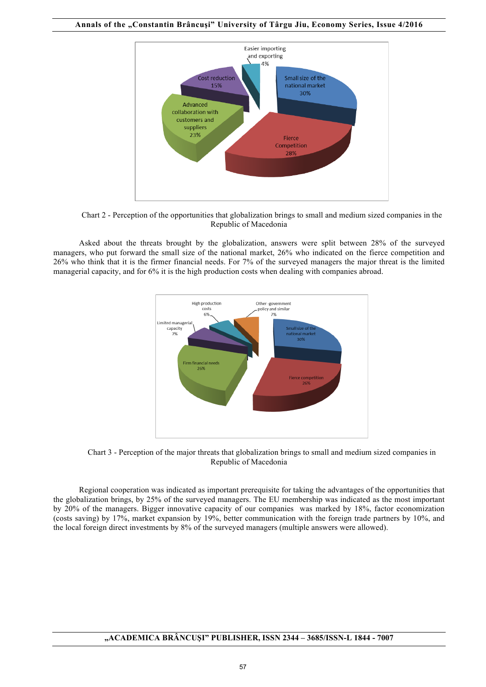**Annals of the "Constantin Brâncuşi" University of Târgu Jiu, Economy Series, Issue 4/2016**



Chart 2 - Perception of the opportunities that globalization brings to small and medium sized companies in the Republic of Macedonia

Asked about the threats brought by the globalization, answers were split between 28% of the surveyed managers, who put forward the small size of the national market, 26% who indicated on the fierce competition and 26% who think that it is the firmer financial needs. For 7% of the surveyed managers the major threat is the limited managerial capacity, and for 6% it is the high production costs when dealing with companies abroad.



Chart 3 - Perception of the major threats that globalization brings to small and medium sized companies in Republic of Macedonia

Regional cooperation was indicated as important prerequisite for taking the advantages of the opportunities that the globalization brings, by 25% of the surveyed managers. The EU membership was indicated as the most important by 20% of the managers. Bigger innovative capacity of our companies was marked by 18%, factor economization (costs saving) by 17%, market expansion by 19%, better communication with the foreign trade partners by 10%, and the local foreign direct investments by 8% of the surveyed managers (multiple answers were allowed).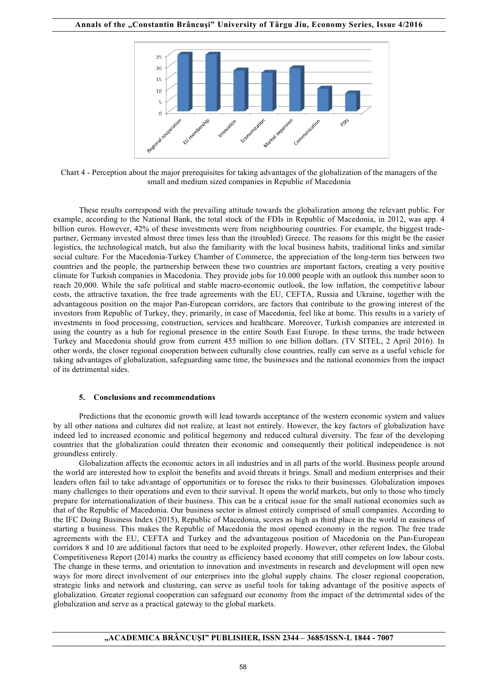

Chart 4 - Perception about the major prerequisites for taking advantages of the globalization of the managers of the small and medium sized companies in Republic of Macedonia

These results correspond with the prevailing attitude towards the globalization among the relevant public. For example, according to the National Bank, the total stock of the FDIs in Republic of Macedonia, in 2012, was app. 4 billion euros. However, 42% of these investments were from neighbouring countries. For example, the biggest tradepartner, Germany invested almost three times less than the (troubled) Greece. The reasons for this might be the easier logistics, the technological match, but also the familiarity with the local business habits, traditional links and similar social culture. For the Macedonia-Turkey Chamber of Commerce, the appreciation of the long-term ties between two countries and the people, the partnership between these two countries are important factors, creating a very positive climate for Turkish companies in Macedonia. They provide jobs for 10.000 people with an outlook this number soon to reach 20,000. While the safe political and stable macro-economic outlook, the low inflation, the competitive labour costs, the attractive taxation, the free trade agreements with the EU, CEFTA, Russia and Ukraine, together with the advantageous position on the major Pan-European corridors, are factors that contribute to the growing interest of the investors from Republic of Turkey, they, primarily, in case of Macedonia, feel like at home. This results in a variety of investments in food processing, construction, services and healthcare. Moreover, Turkish companies are interested in using the country as a hub for regional presence in the entire South East Europe. In these terms, the trade between Turkey and Macedonia should grow from current 455 million to one billion dollars. (TV SITEL, 2 April 2016). In other words, the closer regional cooperation between culturally close countries, really can serve as a useful vehicle for taking advantages of globalization, safeguarding same time, the businesses and the national economies from the impact of its detrimental sides.

## **5. Conclusions and recommendations**

Predictions that the economic growth will lead towards acceptance of the western economic system and values by all other nations and cultures did not realize, at least not entirely. However, the key factors of globalization have indeed led to increased economic and political hegemony and reduced cultural diversity. The fear of the developing countries that the globalization could threaten their economic and consequently their political independence is not groundless entirely.

Globalization affects the economic actors in all industries and in all parts of the world. Business people around the world are interested how to exploit the benefits and avoid threats it brings. Small and medium enterprises and their leaders often fail to take advantage of opportunities or to foresee the risks to their businesses. Globalization imposes many challenges to their operations and even to their survival. It opens the world markets, but only to those who timely prepare for internationalization of their business. This can be a critical issue for the small national economies such as that of the Republic of Macedonia. Our business sector is almost entirely comprised of small companies. According to the IFC Doing Business Index (2015), Republic of Macedonia, scores as high as third place in the world in easiness of starting a business. This makes the Republic of Macedonia the most opened economy in the region. The free trade agreements with the EU, CEFTA and Turkey and the advantageous position of Macedonia on the Pan-European corridors 8 and 10 are additional factors that need to be exploited properly. However, other referent Index, the Global Competitiveness Report (2014) marks the country as efficiency based economy that still competes on low labour costs. The change in these terms, and orientation to innovation and investments in research and development will open new ways for more direct involvement of our enterprises into the global supply chains. The closer regional cooperation, strategic links and network and clustering, can serve as useful tools for taking advantage of the positive aspects of globalization. Greater regional cooperation can safeguard our economy from the impact of the detrimental sides of the globalization and serve as a practical gateway to the global markets.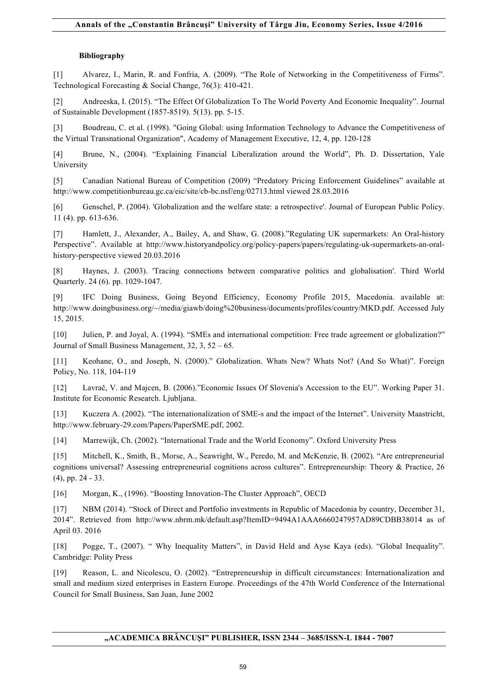# **Bibliography**

[1] Alvarez, I., Marin, R. and Fonfría, A. (2009). "The Role of Networking in the Competitiveness of Firms". Technological Forecasting & Social Change, 76(3): 410-421.

[2] Andreeska, I. (2015). "The Effect Of Globalization To The World Poverty And Economic Inequality". Journal of Sustainable Development (1857-8519). 5(13). pp. 5-15.

[3] Boudreau, C. et al. (1998). "Going Global: using Information Technology to Advance the Competitiveness of the Virtual Transnational Organization", Academy of Management Executive, 12, 4, pp. 120-128

[4] Brune, N., (2004). "Explaining Financial Liberalization around the World", Ph. D. Dissertation, Yale University

[5] Canadian National Bureau of Competition (2009) "Predatory Pricing Enforcement Guidelines" available at http://www.competitionbureau.gc.ca/eic/site/cb-bc.nsf/eng/02713.html viewed 28.03.2016

[6] Genschel, P. (2004). 'Globalization and the welfare state: a retrospective'. Journal of European Public Policy. 11 (4). pp. 613-636.

[7] Hamlett, J., Alexander, A., Bailey, A, and Shaw, G. (2008)."Regulating UK supermarkets: An Oral-history Perspective". Available at http://www.historyandpolicy.org/policy-papers/papers/regulating-uk-supermarkets-an-oralhistory-perspective viewed 20.03.2016

[8] Haynes, J. (2003). 'Tracing connections between comparative politics and globalisation'. Third World Quarterly. 24 (6). pp. 1029-1047.

[9] IFC Doing Business, Going Beyond Efficiency, Economy Profile 2015, Macedonia. available at: http://www.doingbusiness.org/~/media/giawb/doing%20business/documents/profiles/country/MKD.pdf. Accessed July 15, 2015.

[10] Julien, P. and Joyal, A. (1994). "SMEs and international competition: Free trade agreement or globalization?" Journal of Small Business Management, 32, 3, 52 – 65.

[11] Keohane, O., and Joseph, N. (2000)." Globalization. Whats New? Whats Not? (And So What)". Foreign Policy, No. 118, 104-119

[12] Lavrač, V. and Majcen, B. (2006)."Economic Issues Of Slovenia's Accession to the EU". Working Paper 31. Institute for Economic Research. Ljubljana.

[13] Kuczera A. (2002). "The internationalization of SME-s and the impact of the Internet". University Maastricht, http://www.february-29.com/Papers/PaperSME.pdf, 2002.

[14] Marrewijk, Ch. (2002). "International Trade and the World Economy". Oxford University Press

[15] Mitchell, K., Smith, B., Morse, A., Seawright, W., Peredo, M. and McKenzie, B. (2002). "Are entrepreneurial cognitions universal? Assessing entrepreneurial cognitions across cultures". Entrepreneurship: Theory & Practice, 26 (4), pp. 24 - 33.

[16] Morgan, K., (1996). "Boosting Innovation-The Cluster Approach", OECD

[17] NBM (2014). "Stock of Direct and Portfolio investments in Republic of Macedonia by country, December 31, 2014". Retrieved from http://www.nbrm.mk/default.asp?ItemID=9494A1AAA6660247957AD89CDBB38014 as of April 03. 2016

[18] Pogge, T., (2007). " Why Inequality Matters", in David Held and Ayse Kaya (eds). "Global Inequality". Cambridge: Polity Press

[19] Reason, L. and Nicolescu, O. (2002). "Entrepreneurship in difficult circumstances: Internationalization and small and medium sized enterprises in Eastern Europe. Proceedings of the 47th World Conference of the International Council for Small Business, San Juan, June 2002